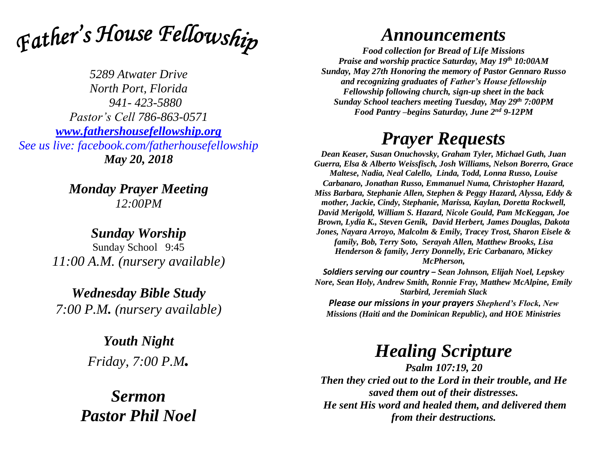

*5289 Atwater Drive North Port, Florida 941- 423-5880 Pastor's Cell 786-863-0571 [www.fathershousefellowship.org](http://www.fathershousefellowship.org/) See us live: facebook.com/fatherhousefellowship May 20, 2018*

> *Monday Prayer Meeting 12:00PM*

*Sunday Worship* Sunday School 9:45 *11:00 A.M. (nursery available)*

*Wednesday Bible Study 7:00 P.M. (nursery available)*

> *Youth Night Friday, 7:00 P.M.*

*Sermon Pastor Phil Noel*

## *Announcements*

*Food collection for Bread of Life Missions Praise and worship practice Saturday, May 19th 10:00AM Sunday, May 27th Honoring the memory of Pastor Gennaro Russo and recognizing graduates of Father's House fellowship Fellowship following church, sign-up sheet in the back Sunday School teachers meeting Tuesday, May 29th 7:00PM Food Pantry –begins Saturday, June 2nd 9-12PM*

## *Prayer Requests*

*Dean Keaser, Susan Onuchovsky, Graham Tyler, Michael Guth, Juan Guerra, Elsa & Alberto Weissfisch, Josh Williams, Nelson Borerro, Grace Maltese, Nadia, Neal Calello, Linda, Todd, Lonna Russo, Louise Carbanaro, Jonathan Russo, Emmanuel Numa, Christopher Hazard, Miss Barbara, Stephanie Allen, Stephen & Peggy Hazard, Alyssa, Eddy & mother, Jackie, Cindy, Stephanie, Marissa, Kaylan, Doretta Rockwell, David Merigold, William S. Hazard, Nicole Gould, Pam McKeggan, Joe Brown, Lydia K., Steven Genik, David Herbert, James Douglas, Dakota Jones, Nayara Arroyo, Malcolm & Emily, Tracey Trost, Sharon Eisele & family, Bob, Terry Soto, Serayah Allen, Matthew Brooks, Lisa Henderson & family, Jerry Donnelly, Eric Carbanaro, Mickey McPherson,* 

*Soldiers serving our country – Sean Johnson, Elijah Noel, Lepskey Nore, Sean Holy, Andrew Smith, Ronnie Fray, Matthew McAlpine, Emily Starbird, Jeremiah Slack*

*Please our missions in your prayers Shepherd's Flock, New Missions (Haiti and the Dominican Republic), and HOE Ministries*

## *Healing Scripture*

*Psalm 107:19, 20 Then they cried out to the Lord in their trouble, and He saved them out of their distresses. He sent His word and healed them, and delivered them from their destructions.*